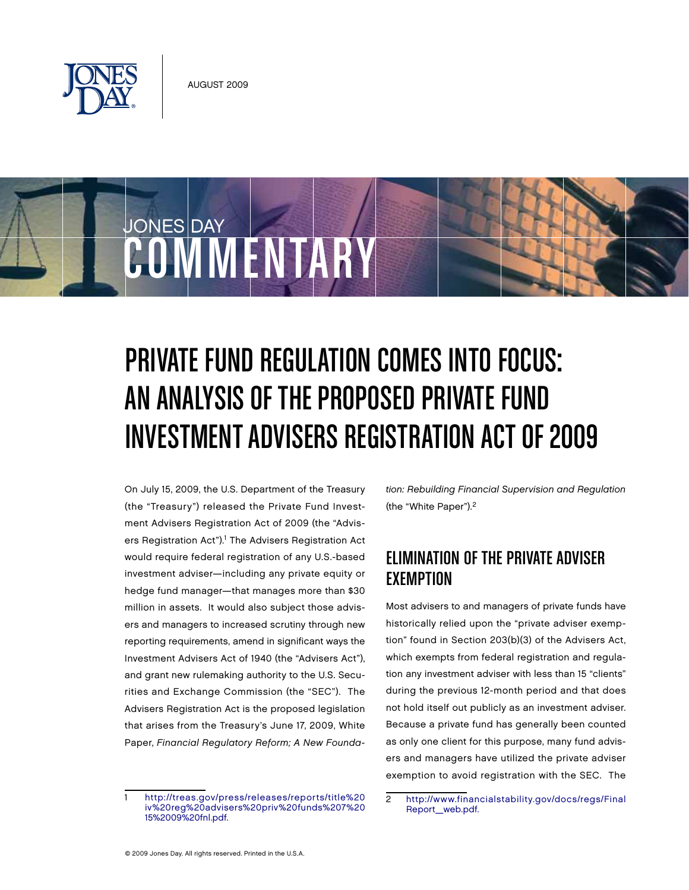

**COMMENTARY** 

JONES DAY

# PRIVATE FUND REGULATION COMES INTO FOCUS: AN ANALYSIS OF THE PROPOSED PRIVATE FUND

INVESTMENT ADVISERS REGISTRATION ACT OF 2009

On July 15, 2009, the U.S. Department of the Treasury (the "Treasury") released the Private Fund Investment Advisers Registration Act of 2009 (the "Advisers Registration Act").<sup>1</sup> The Advisers Registration Act would require federal registration of any U.S.-based investment adviser—including any private equity or hedge fund manager—that manages more than \$30 million in assets. It would also subject those advisers and managers to increased scrutiny through new reporting requirements, amend in significant ways the Investment Advisers Act of 1940 (the "Advisers Act"), and grant new rulemaking authority to the U.S. Securities and Exchange Commission (the "SEC"). The Advisers Registration Act is the proposed legislation that arises from the Treasury's June 17, 2009, White Paper, Financial Regulatory Reform; A New Foundation: Rebuilding Financial Supervision and Regulation (the "White Paper").2

## Eliminat ion of the Private Adviser **EXEMPTION**

Most advisers to and managers of private funds have historically relied upon the "private adviser exemption" found in Section 203(b)(3) of the Advisers Act, which exempts from federal registration and regulation any investment adviser with less than 15 "clients" during the previous 12-month period and that does not hold itself out publicly as an investment adviser. Because a private fund has generally been counted as only one client for this purpose, many fund advisers and managers have utilized the private adviser exemption to avoid registration with the SEC. The

<sup>1</sup> http://treas.gov/press/releases/reports/title%20 [iv%20reg%20advisers%20priv%20funds%207%20](http://treas.gov/press/releases/reports/title%20iv%20reg%20advisers%20priv%20funds%207%2015%2009%20fnl.pdf) 15%2009%20fnl.pdf.

<sup>2</sup> [http://www.financialstability.gov/docs/regs/Final](http://www.financialstability.gov/docs/regs/FinalReport_web.pdf)  [Report\\_web.pdf.](http://www.financialstability.gov/docs/regs/FinalReport_web.pdf)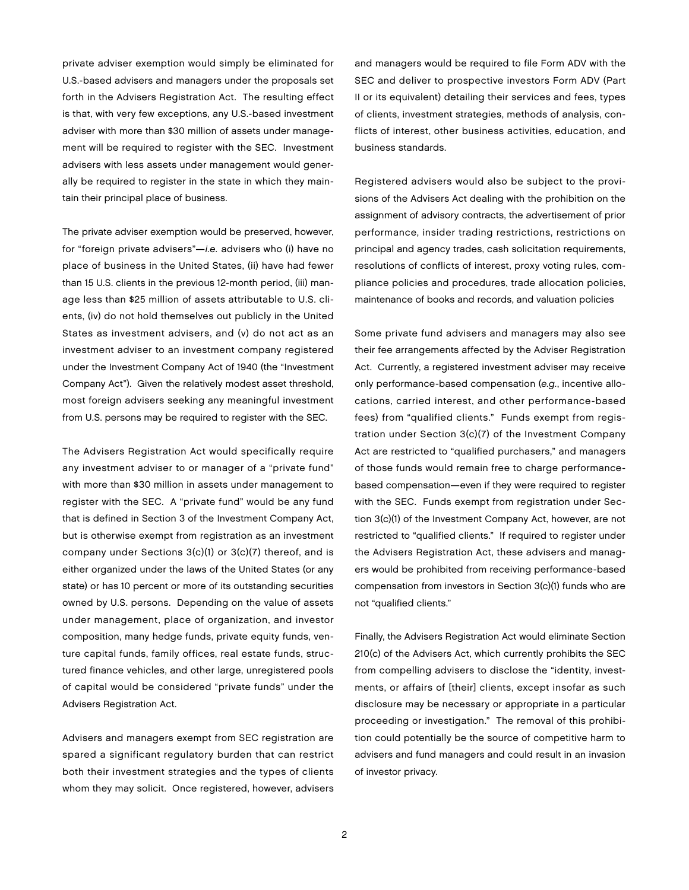private adviser exemption would simply be eliminated for U.S.-based advisers and managers under the proposals set forth in the Advisers Registration Act. The resulting effect is that, with very few exceptions, any U.S.-based investment adviser with more than \$30 million of assets under management will be required to register with the SEC. Investment advisers with less assets under management would generally be required to register in the state in which they maintain their principal place of business.

The private adviser exemption would be preserved, however, for "foreign private advisers"—i.e. advisers who (i) have no place of business in the United States, (ii) have had fewer than 15 U.S. clients in the previous 12-month period, (iii) manage less than \$25 million of assets attributable to U.S. clients, (iv) do not hold themselves out publicly in the United States as investment advisers, and (v) do not act as an investment adviser to an investment company registered under the Investment Company Act of 1940 (the "Investment Company Act"). Given the relatively modest asset threshold, most foreign advisers seeking any meaningful investment from U.S. persons may be required to register with the SEC.

The Advisers Registration Act would specifically require any investment adviser to or manager of a "private fund" with more than \$30 million in assets under management to register with the SEC. A "private fund" would be any fund that is defined in Section 3 of the Investment Company Act, but is otherwise exempt from registration as an investment company under Sections 3(c)(1) or 3(c)(7) thereof, and is either organized under the laws of the United States (or any state) or has 10 percent or more of its outstanding securities owned by U.S. persons. Depending on the value of assets under management, place of organization, and investor composition, many hedge funds, private equity funds, venture capital funds, family offices, real estate funds, structured finance vehicles, and other large, unregistered pools of capital would be considered "private funds" under the Advisers Registration Act.

Advisers and managers exempt from SEC registration are spared a significant regulatory burden that can restrict both their investment strategies and the types of clients whom they may solicit. Once registered, however, advisers

and managers would be required to file Form ADV with the SEC and deliver to prospective investors Form ADV (Part II or its equivalent) detailing their services and fees, types of clients, investment strategies, methods of analysis, conflicts of interest, other business activities, education, and business standards.

Registered advisers would also be subject to the provisions of the Advisers Act dealing with the prohibition on the assignment of advisory contracts, the advertisement of prior performance, insider trading restrictions, restrictions on principal and agency trades, cash solicitation requirements, resolutions of conflicts of interest, proxy voting rules, compliance policies and procedures, trade allocation policies, maintenance of books and records, and valuation policies

Some private fund advisers and managers may also see their fee arrangements affected by the Adviser Registration Act. Currently, a registered investment adviser may receive only performance-based compensation (e.g., incentive allocations, carried interest, and other performance-based fees) from "qualified clients." Funds exempt from registration under Section 3(c)(7) of the Investment Company Act are restricted to "qualified purchasers," and managers of those funds would remain free to charge performancebased compensation—even if they were required to register with the SEC. Funds exempt from registration under Section 3(c)(1) of the Investment Company Act, however, are not restricted to "qualified clients." If required to register under the Advisers Registration Act, these advisers and managers would be prohibited from receiving performance-based compensation from investors in Section 3(c)(1) funds who are not "qualified clients."

Finally, the Advisers Registration Act would eliminate Section 210(c) of the Advisers Act, which currently prohibits the SEC from compelling advisers to disclose the "identity, investments, or affairs of [their] clients, except insofar as such disclosure may be necessary or appropriate in a particular proceeding or investigation." The removal of this prohibition could potentially be the source of competitive harm to advisers and fund managers and could result in an invasion of investor privacy.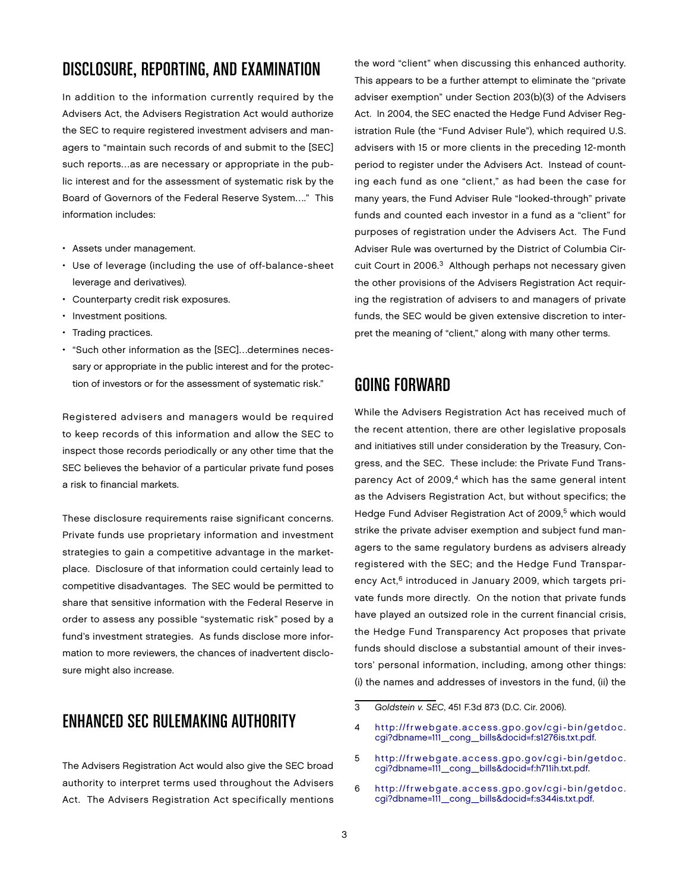## DISCLOSURE, REPORTING, AND EXAMINATION

In addition to the information currently required by the Advisers Act, the Advisers Registration Act would authorize the SEC to require registered investment advisers and managers to "maintain such records of and submit to the [SEC] such reports…as are necessary or appropriate in the public interest and for the assessment of systematic risk by the Board of Governors of the Federal Reserve System…." This information includes:

- • Assets under management.
- • Use of leverage (including the use of off-balance-sheet leverage and derivatives).
- • Counterparty credit risk exposures.
- Investment positions.
- Trading practices.
- "Such other information as the [SEC]...determines necessary or appropriate in the public interest and for the protection of investors or for the assessment of systematic risk."

Registered advisers and managers would be required to keep records of this information and allow the SEC to inspect those records periodically or any other time that the SEC believes the behavior of a particular private fund poses a risk to financial markets.

These disclosure requirements raise significant concerns. Private funds use proprietary information and investment strategies to gain a competitive advantage in the marketplace. Disclosure of that information could certainly lead to competitive disadvantages. The SEC would be permitted to share that sensitive information with the Federal Reserve in order to assess any possible "systematic risk" posed by a fund's investment strategies. As funds disclose more information to more reviewers, the chances of inadvertent disclosure might also increase.

### ENHANCED SEC RULEMAKING AUTHORITY

The Advisers Registration Act would also give the SEC broad authority to interpret terms used throughout the Advisers Act. The Advisers Registration Act specifically mentions the word "client" when discussing this enhanced authority. This appears to be a further attempt to eliminate the "private adviser exemption" under Section 203(b)(3) of the Advisers Act. In 2004, the SEC enacted the Hedge Fund Adviser Registration Rule (the "Fund Adviser Rule"), which required U.S. advisers with 15 or more clients in the preceding 12-month period to register under the Advisers Act. Instead of counting each fund as one "client," as had been the case for many years, the Fund Adviser Rule "looked-through" private funds and counted each investor in a fund as a "client" for purposes of registration under the Advisers Act. The Fund Adviser Rule was overturned by the District of Columbia Circuit Court in 2006.<sup>3</sup> Although perhaps not necessary given the other provisions of the Advisers Registration Act requiring the registration of advisers to and managers of private funds, the SEC would be given extensive discretion to interpret the meaning of "client," along with many other terms.

#### GOING FORWARD

While the Advisers Registration Act has received much of the recent attention, there are other legislative proposals and initiatives still under consideration by the Treasury, Congress, and the SEC. These include: the Private Fund Transparency Act of 2009,<sup>4</sup> which has the same general intent as the Advisers Registration Act, but without specifics; the Hedge Fund Adviser Registration Act of 2009,<sup>5</sup> which would strike the private adviser exemption and subject fund managers to the same regulatory burdens as advisers already registered with the SEC; and the Hedge Fund Transparency Act,<sup>6</sup> introduced in January 2009, which targets private funds more directly. On the notion that private funds have played an outsized role in the current financial crisis, the Hedge Fund Transparency Act proposes that private funds should disclose a substantial amount of their investors' personal information, including, among other things: (i) the names and addresses of investors in the fund, (ii) the

- 4 [http://fr webgate.access.gpo.gov/cgi-bin/getdoc.](http://frwebgate.access.gpo.gov/cgi-bin/getdoc.cgi?dbname=111_cong_bills&docid=f:s1276is.txt.pdf) cgi?dbname=111\_cong\_bills&docid=f:s1276is.txt.pdf.
- 5 [http://fr webgate.access.gpo.gov/cgi-bin/getdoc.](http://frwebgate.access.gpo.gov/cgi-bin/getdoc.cgi?dbname=111_cong_bills&docid=f:h711ih.txt.pdf) cgi?dbname=111\_cong\_bills&docid=f:h711ih.txt.pdf.
- 6 [http://fr webgate.access.gpo.gov/cgi-bin/getdoc.](http://frwebgate.access.gpo.gov/cgi-bin/getdoc.cgi?dbname=111_cong_bills&docid=f:s344is.txt.pdf) cgi?dbname=111\_cong\_bills&docid=f:s344is.txt.pdf.

<sup>3</sup> Goldstein v. SEC, 451 F.3d 873 (D.C. Cir. 2006).